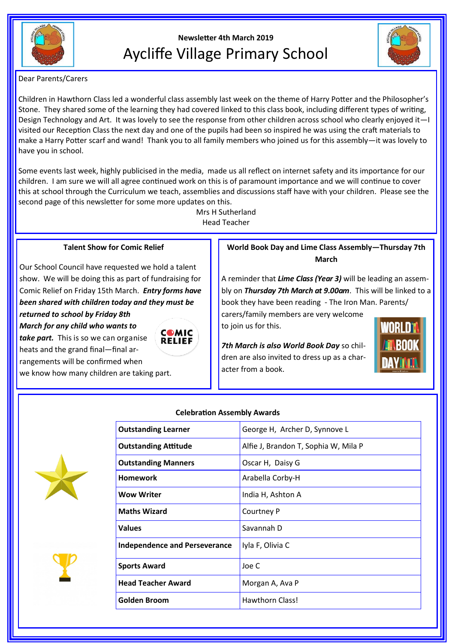

# **Newsletter 4th March 2019** Aycliffe Village Primary School



Dear Parents/Carers

Children in Hawthorn Class led a wonderful class assembly last week on the theme of Harry Potter and the Philosopher's Stone. They shared some of the learning they had covered linked to this class book, including different types of writing, Design Technology and Art. It was lovely to see the response from other children across school who clearly enjoyed it—I visited our Reception Class the next day and one of the pupils had been so inspired he was using the craft materials to make a Harry Potter scarf and wand! Thank you to all family members who joined us for this assembly—it was lovely to have you in school.

Some events last week, highly publicised in the media, made us all reflect on internet safety and its importance for our children. I am sure we will all agree continued work on this is of paramount importance and we will continue to cover this at school through the Curriculum we teach, assemblies and discussions staff have with your children. Please see the second page of this newsletter for some more updates on this.

Mrs H Sutherland Head Teacher

## **Talent Show for Comic Relief**

Our School Council have requested we hold a talent show. We will be doing this as part of fundraising for Comic Relief on Friday 15th March. *Entry forms have been shared with children today and they must be returned to school by Friday 8th* 

*March for any child who wants to take part.* This is so we can organise

heats and the grand final—final arrangements will be confirmed when we know how many children are taking part.



**World Book Day and Lime Class Assembly—Thursday 7th March**

A reminder that *Lime Class (Year 3)* will be leading an assembly on *Thursday 7th March at 9.00am*. This will be linked to a book they have been reading - The Iron Man. Parents/

carers/family members are very welcome to join us for this.

*7th March is also World Book Day* so children are also invited to dress up as a character from a book.







| <b>Outstanding Learner</b>           | George H, Archer D, Synnove L        |
|--------------------------------------|--------------------------------------|
| <b>Outstanding Attitude</b>          | Alfie J, Brandon T, Sophia W, Mila P |
| <b>Outstanding Manners</b>           | Oscar H, Daisy G                     |
| Homework                             | Arabella Corby-H                     |
| Wow Writer                           | India H, Ashton A                    |
| <b>Maths Wizard</b>                  | Courtney P                           |
| Values                               | Savannah D                           |
| <b>Independence and Perseverance</b> | Iyla F, Olivia C                     |
| <b>Sports Award</b>                  | Joe C                                |
| <b>Head Teacher Award</b>            | Morgan A, Ava P                      |
| Golden Broom                         | Hawthorn Class!                      |
|                                      |                                      |

# **Celebration Assembly Awards**